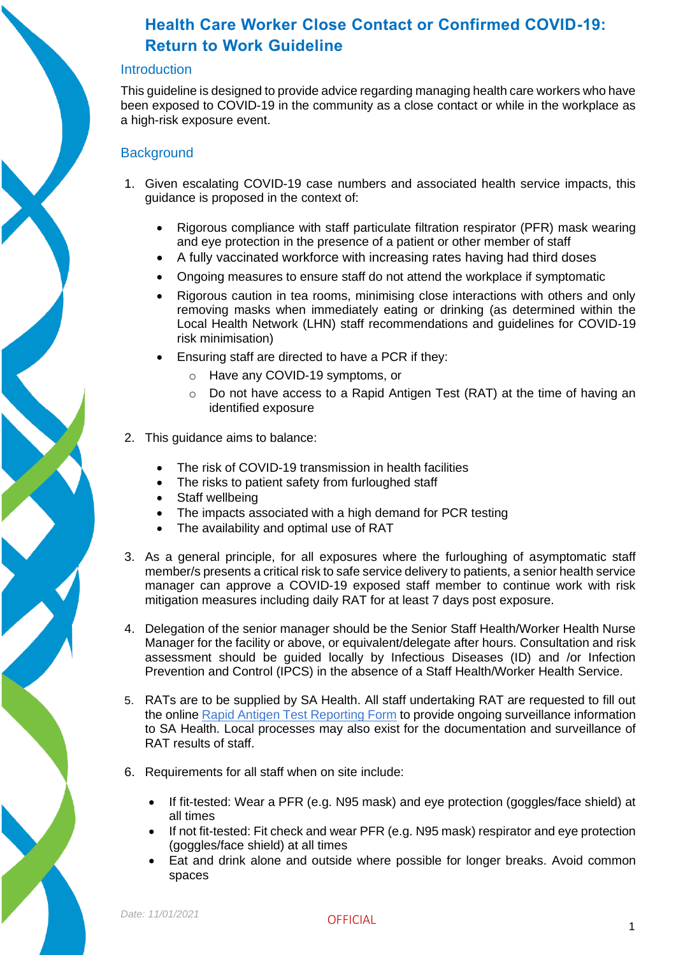#### **Introduction**

This guideline is designed to provide advice regarding managing health care workers who have been exposed to COVID-19 in the community as a close contact or while in the workplace as a high-risk exposure event.

#### **Background**

- 1. Given escalating COVID-19 case numbers and associated health service impacts, this guidance is proposed in the context of:
	- Rigorous compliance with staff particulate filtration respirator (PFR) mask wearing and eye protection in the presence of a patient or other member of staff
	- A fully vaccinated workforce with increasing rates having had third doses
	- Ongoing measures to ensure staff do not attend the workplace if symptomatic
	- Rigorous caution in tea rooms, minimising close interactions with others and only removing masks when immediately eating or drinking (as determined within the Local Health Network (LHN) staff recommendations and guidelines for COVID-19 risk minimisation)
	- Ensuring staff are directed to have a PCR if they:
		- o Have any COVID-19 symptoms, or
		- o Do not have access to a Rapid Antigen Test (RAT) at the time of having an identified exposure
- 2. This guidance aims to balance:
	- The risk of COVID-19 transmission in health facilities
	- The risks to patient safety from furloughed staff
	- Staff wellbeing
	- The impacts associated with a high demand for PCR testing
	- The availability and optimal use of RAT
- 3. As a general principle, for all exposures where the furloughing of asymptomatic staff member/s presents a critical risk to safe service delivery to patients, a senior health service manager can approve a COVID-19 exposed staff member to continue work with risk mitigation measures including daily RAT for at least 7 days post exposure.
- 4. Delegation of the senior manager should be the Senior Staff Health/Worker Health Nurse Manager for the facility or above, or equivalent/delegate after hours. Consultation and risk assessment should be guided locally by Infectious Diseases (ID) and /or Infection Prevention and Control (IPCS) in the absence of a Staff Health/Worker Health Service.
- 5. RATs are to be supplied by SA Health. All staff undertaking RAT are requested to fill out the online [Rapid Antigen Test Reporting Form](https://forms.sa.gov.au/#/form/61cd11cfad9c5a41ccb16e39) to provide ongoing surveillance information to SA Health. Local processes may also exist for the documentation and surveillance of RAT results of staff.
- 6. Requirements for all staff when on site include:
	- If fit-tested: Wear a PFR (e.g. N95 mask) and eye protection (goggles/face shield) at all times
	- If not fit-tested: Fit check and wear PFR (e.g. N95 mask) respirator and eye protection (goggles/face shield) at all times
	- Eat and drink alone and outside where possible for longer breaks. Avoid common spaces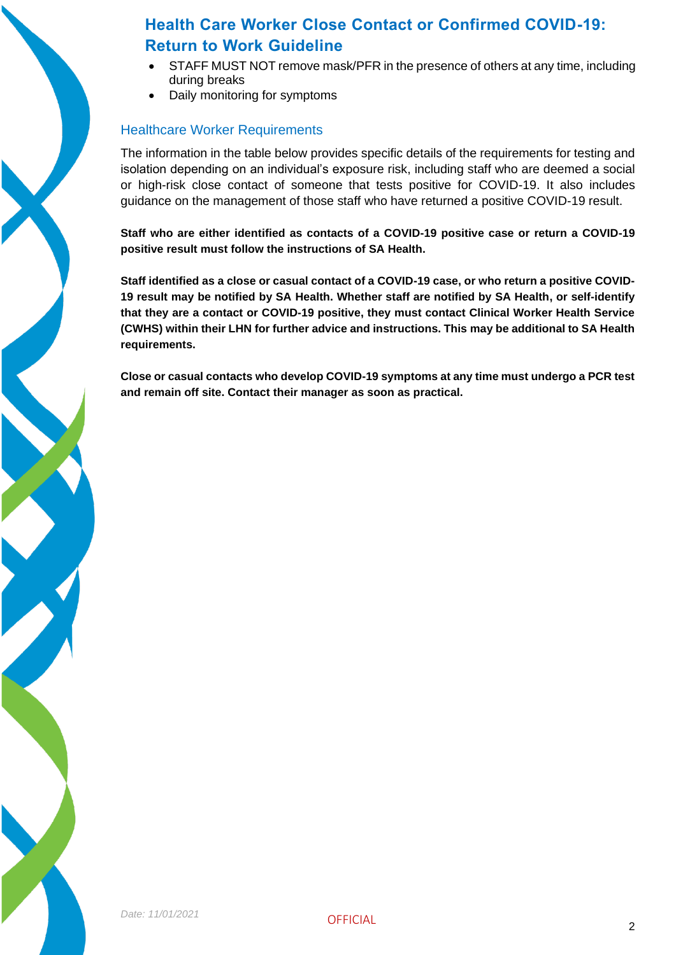

- STAFF MUST NOT remove mask/PFR in the presence of others at any time, including during breaks
- Daily monitoring for symptoms

### Healthcare Worker Requirements

The information in the table below provides specific details of the requirements for testing and isolation depending on an individual's exposure risk, including staff who are deemed a social or high-risk close contact of someone that tests positive for COVID-19. It also includes guidance on the management of those staff who have returned a positive COVID-19 result.

**Staff who are either identified as contacts of a COVID-19 positive case or return a COVID-19 positive result must follow the instructions of SA Health.** 

**Staff identified as a close or casual contact of a COVID-19 case, or who return a positive COVID-19 result may be notified by SA Health. Whether staff are notified by SA Health, or self-identify that they are a contact or COVID-19 positive, they must contact Clinical Worker Health Service (CWHS) within their LHN for further advice and instructions. This may be additional to SA Health requirements.**

**Close or casual contacts who develop COVID-19 symptoms at any time must undergo a PCR test and remain off site. Contact their manager as soon as practical.**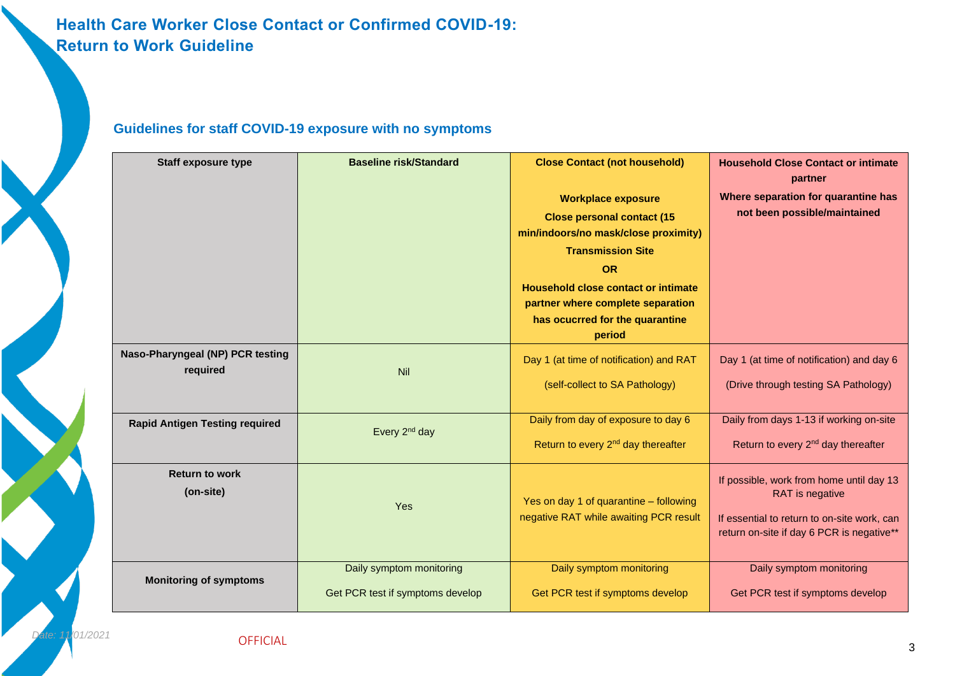|                                       | <b>Baseline risk/Standard</b>    |                                                | <b>Household Close Contact or intimate</b>     |
|---------------------------------------|----------------------------------|------------------------------------------------|------------------------------------------------|
| <b>Staff exposure type</b>            |                                  | <b>Close Contact (not household)</b>           | partner                                        |
|                                       |                                  |                                                | Where separation for quarantine has            |
|                                       |                                  | <b>Workplace exposure</b>                      | not been possible/maintained                   |
|                                       |                                  | <b>Close personal contact (15</b>              |                                                |
|                                       |                                  | min/indoors/no mask/close proximity)           |                                                |
|                                       |                                  | <b>Transmission Site</b>                       |                                                |
|                                       |                                  | <b>OR</b>                                      |                                                |
|                                       |                                  | <b>Household close contact or intimate</b>     |                                                |
|                                       |                                  | partner where complete separation              |                                                |
|                                       |                                  | has ocucrred for the quarantine                |                                                |
|                                       |                                  | period                                         |                                                |
| Naso-Pharyngeal (NP) PCR testing      | Nil                              | Day 1 (at time of notification) and RAT        | Day 1 (at time of notification) and day 6      |
| required                              |                                  |                                                |                                                |
|                                       |                                  | (self-collect to SA Pathology)                 | (Drive through testing SA Pathology)           |
|                                       |                                  |                                                |                                                |
| <b>Rapid Antigen Testing required</b> | Every 2 <sup>nd</sup> day        | Daily from day of exposure to day 6            | Daily from days 1-13 if working on-site        |
|                                       |                                  | Return to every 2 <sup>nd</sup> day thereafter | Return to every 2 <sup>nd</sup> day thereafter |
|                                       |                                  |                                                |                                                |
| <b>Return to work</b>                 |                                  |                                                | If possible, work from home until day 13       |
| (on-site)                             | Yes                              | Yes on day 1 of quarantine - following         | RAT is negative                                |
|                                       |                                  | negative RAT while awaiting PCR result         | If essential to return to on-site work, can    |
|                                       |                                  |                                                | return on-site if day 6 PCR is negative**      |
|                                       |                                  |                                                |                                                |
| <b>Monitoring of symptoms</b>         | Daily symptom monitoring         | Daily symptom monitoring                       | Daily symptom monitoring                       |
|                                       |                                  |                                                |                                                |
|                                       | Get PCR test if symptoms develop | Get PCR test if symptoms develop               | Get PCR test if symptoms develop               |

### **Guidelines for staff COVID-19 exposure with no symptoms**

OFFICIAL

*Date: 11/01/2021*

2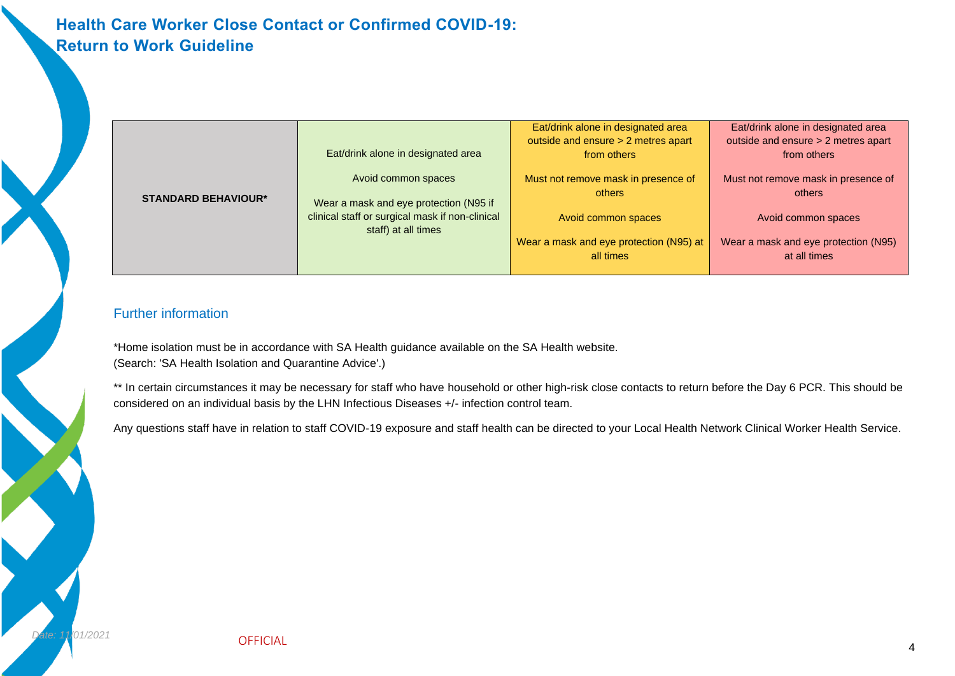|                            |                                                                        | Eat/drink alone in designated area                   | Eat/drink alone in designated area                   |
|----------------------------|------------------------------------------------------------------------|------------------------------------------------------|------------------------------------------------------|
| <b>STANDARD BEHAVIOUR*</b> | Eat/drink alone in designated area                                     | outside and ensure > 2 metres apart<br>from others   | outside and ensure > 2 metres apart<br>from others   |
|                            | Avoid common spaces                                                    | Must not remove mask in presence of<br>others        | Must not remove mask in presence of<br>others        |
|                            | Wear a mask and eye protection (N95 if                                 |                                                      |                                                      |
|                            | clinical staff or surgical mask if non-clinical<br>staff) at all times | Avoid common spaces                                  | Avoid common spaces                                  |
|                            |                                                                        | Wear a mask and eye protection (N95) at<br>all times | Wear a mask and eye protection (N95)<br>at all times |
|                            |                                                                        |                                                      |                                                      |

### Further information

*Date: 11/01/2021*

\*Home isolation must be in accordance with SA Health guidance available on the SA Health website. (Search: 'SA Health Isolation and Quarantine Advice'.)

\*\* In certain circumstances it may be necessary for staff who have household or other high-risk close contacts to return before the Day 6 PCR. This should be considered on an individual basis by the LHN Infectious Diseases +/- infection control team.

Any questions staff have in relation to staff COVID-19 exposure and staff health can be directed to your Local Health Network Clinical Worker Health Service.